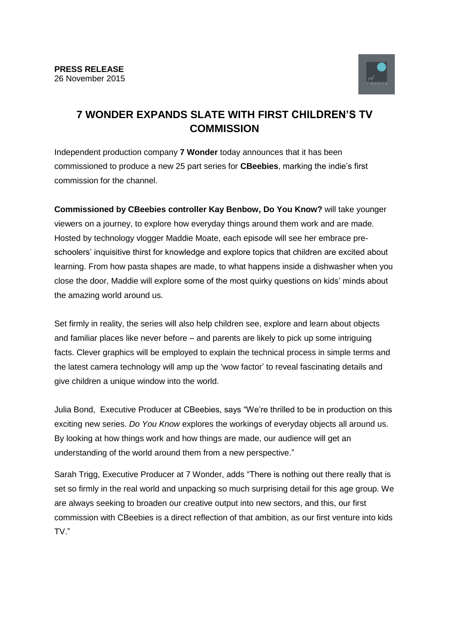

## **7 WONDER EXPANDS SLATE WITH FIRST CHILDREN'S TV COMMISSION**

Independent production company **7 Wonder** today announces that it has been commissioned to produce a new 25 part series for **CBeebies**, marking the indie's first commission for the channel.

**Commissioned by CBeebies controller Kay Benbow, Do You Know?** will take younger viewers on a journey, to explore how everyday things around them work and are made. Hosted by technology vlogger Maddie Moate, each episode will see her embrace preschoolers' inquisitive thirst for knowledge and explore topics that children are excited about learning. From how pasta shapes are made, to what happens inside a dishwasher when you close the door, Maddie will explore some of the most quirky questions on kids' minds about the amazing world around us.

Set firmly in reality, the series will also help children see, explore and learn about objects and familiar places like never before – and parents are likely to pick up some intriguing facts. Clever graphics will be employed to explain the technical process in simple terms and the latest camera technology will amp up the 'wow factor' to reveal fascinating details and give children a unique window into the world.

Julia Bond, Executive Producer at CBeebies, says "We're thrilled to be in production on this exciting new series. *Do You Know* explores the workings of everyday objects all around us. By looking at how things work and how things are made, our audience will get an understanding of the world around them from a new perspective."

Sarah Trigg, Executive Producer at 7 Wonder, adds "There is nothing out there really that is set so firmly in the real world and unpacking so much surprising detail for this age group. We are always seeking to broaden our creative output into new sectors, and this, our first commission with CBeebies is a direct reflection of that ambition, as our first venture into kids TV."